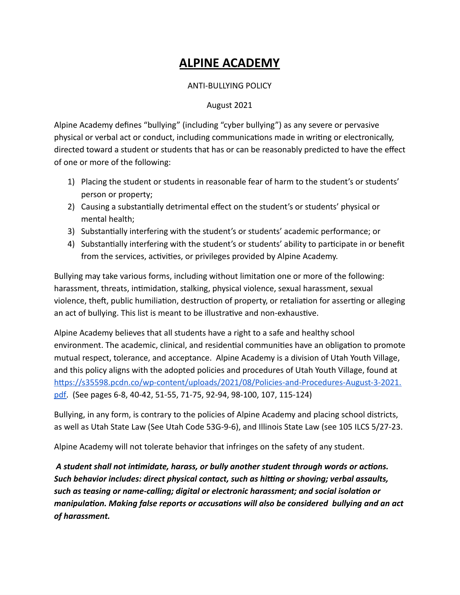#### **ALPINE ACADEMY**

#### ANTI-BULLYING POLICY

#### August 2021

Alpine Academy defines "bullying" (including "cyber bullying") as any severe or pervasive physical or verbal act or conduct, including communications made in writing or electronically, directed toward a student or students that has or can be reasonably predicted to have the effect of one or more of the following:

- 1) Placing the student or students in reasonable fear of harm to the student's or students' person or property;
- 2) Causing a substantially detrimental effect on the student's or students' physical or mental health;
- 3) Substantially interfering with the student's or students' academic performance; or
- 4) Substantially interfering with the student's or students' ability to participate in or benefit from the services, activities, or privileges provided by Alpine Academy.

Bullying may take various forms, including without limitation one or more of the following: harassment, threats, intimidation, stalking, physical violence, sexual harassment, sexual violence, theft, public humiliation, destruction of property, or retaliation for asserting or alleging an act of bullying. This list is meant to be illustrative and non-exhaustive.

Alpine Academy believes that all students have a right to a safe and healthy school environment. The academic, clinical, and residential communities have an obligation to promote mutual respect, tolerance, and acceptance. Alpine Academy is a division of Utah Youth Village, and this policy aligns with the adopted policies and procedures of Utah Youth Village, found at [https://s35598.pcdn.co/wp-content/uploads/2021/08/Policies-and-Procedures-August-3-2021.](https://s35598.pcdn.co/wp-content/uploads/2021/08/Policies-and-Procedures-August-3-2021.pdf) [pdf](https://s35598.pcdn.co/wp-content/uploads/2021/08/Policies-and-Procedures-August-3-2021.pdf). (See pages 6-8, 40-42, 51-55, 71-75, 92-94, 98-100, 107, 115-124)

Bullying, in any form, is contrary to the policies of Alpine Academy and placing school districts, as well as Utah State Law (See Utah Code 53G-9-6), and Illinois State Law (see 105 ILCS 5/27-23.

Alpine Academy will not tolerate behavior that infringes on the safety of any student.

*A student shall not intimidate, harass, or bully another student through words or actions. Such behavior includes: direct physical contact, such as hitting or shoving; verbal assaults, such as teasing or name-calling; digital or electronic harassment; and social isolation or manipulation. Making false reports or accusations will also be considered bullying and an act of harassment.*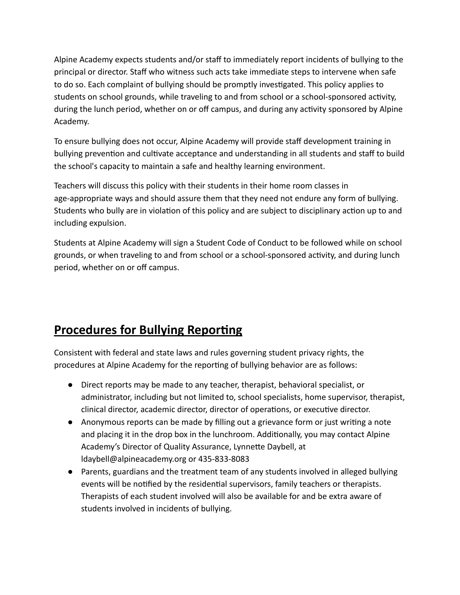Alpine Academy expects students and/or staff to immediately report incidents of bullying to the principal or director. Staff who witness such acts take immediate steps to intervene when safe to do so. Each complaint of bullying should be promptly investigated. This policy applies to students on school grounds, while traveling to and from school or a school-sponsored activity, during the lunch period, whether on or off campus, and during any activity sponsored by Alpine Academy.

To ensure bullying does not occur, Alpine Academy will provide staff development training in bullying prevention and cultivate acceptance and understanding in all students and staff to build the school's capacity to maintain a safe and healthy learning environment.

Teachers will discuss this policy with their students in their home room classes in age-appropriate ways and should assure them that they need not endure any form of bullying. Students who bully are in violation of this policy and are subject to disciplinary action up to and including expulsion.

Students at Alpine Academy will sign a Student Code of Conduct to be followed while on school grounds, or when traveling to and from school or a school-sponsored activity, and during lunch period, whether on or off campus.

## **Procedures for Bullying Reporting**

Consistent with federal and state laws and rules governing student privacy rights, the procedures at Alpine Academy for the reporting of bullying behavior are as follows:

- Direct reports may be made to any teacher, therapist, behavioral specialist, or administrator, including but not limited to, school specialists, home supervisor, therapist, clinical director, academic director, director of operations, or executive director.
- Anonymous reports can be made by filling out a grievance form or just writing a note and placing it in the drop box in the lunchroom. Additionally, you may contact Alpine Academy's Director of Quality Assurance, Lynnette Daybell, at ldaybell@alpineacademy.org or 435-833-8083
- Parents, guardians and the treatment team of any students involved in alleged bullying events will be notified by the residential supervisors, family teachers or therapists. Therapists of each student involved will also be available for and be extra aware of students involved in incidents of bullying.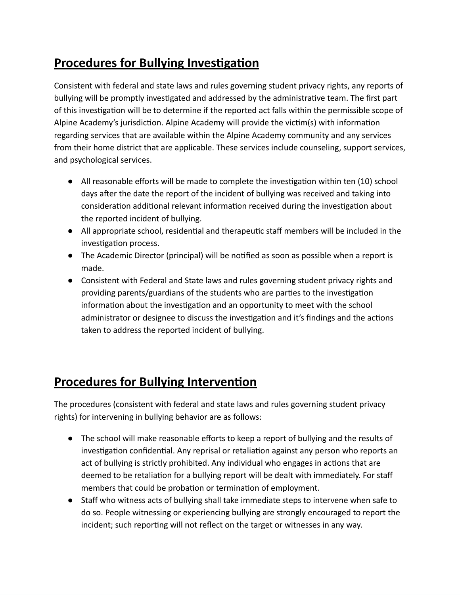## **Procedures for Bullying Investigation**

Consistent with federal and state laws and rules governing student privacy rights, any reports of bullying will be promptly investigated and addressed by the administrative team. The first part of this investigation will be to determine if the reported act falls within the permissible scope of Alpine Academy's jurisdiction. Alpine Academy will provide the victim(s) with information regarding services that are available within the Alpine Academy community and any services from their home district that are applicable. These services include counseling, support services, and psychological services.

- All reasonable efforts will be made to complete the investigation within ten (10) school days after the date the report of the incident of bullying was received and taking into consideration additional relevant information received during the investigation about the reported incident of bullying.
- All appropriate school, residential and therapeutic staff members will be included in the investigation process.
- The Academic Director (principal) will be notified as soon as possible when a report is made.
- Consistent with Federal and State laws and rules governing student privacy rights and providing parents/guardians of the students who are parties to the investigation information about the investigation and an opportunity to meet with the school administrator or designee to discuss the investigation and it's findings and the actions taken to address the reported incident of bullying.

## **Procedures for Bullying Intervention**

The procedures (consistent with federal and state laws and rules governing student privacy rights) for intervening in bullying behavior are as follows:

- The school will make reasonable efforts to keep a report of bullying and the results of investigation confidential. Any reprisal or retaliation against any person who reports an act of bullying is strictly prohibited. Any individual who engages in actions that are deemed to be retaliation for a bullying report will be dealt with immediately. For staff members that could be probation or termination of employment.
- Staff who witness acts of bullying shall take immediate steps to intervene when safe to do so. People witnessing or experiencing bullying are strongly encouraged to report the incident; such reporting will not reflect on the target or witnesses in any way.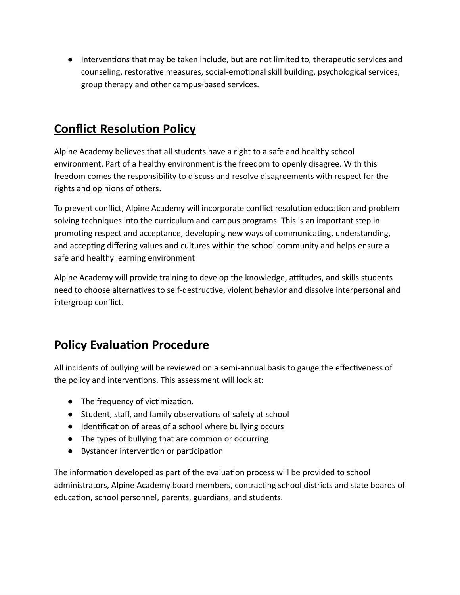● Interventions that may be taken include, but are not limited to, therapeutic services and counseling, restorative measures, social-emotional skill building, psychological services, group therapy and other campus-based services.

#### **Conflict Resolution Policy**

Alpine Academy believes that all students have a right to a safe and healthy school environment. Part of a healthy environment is the freedom to openly disagree. With this freedom comes the responsibility to discuss and resolve disagreements with respect for the rights and opinions of others.

To prevent conflict, Alpine Academy will incorporate conflict resolution education and problem solving techniques into the curriculum and campus programs. This is an important step in promoting respect and acceptance, developing new ways of communicating, understanding, and accepting differing values and cultures within the school community and helps ensure a safe and healthy learning environment

Alpine Academy will provide training to develop the knowledge, attitudes, and skills students need to choose alternatives to self-destructive, violent behavior and dissolve interpersonal and intergroup conflict.

## **Policy Evaluation Procedure**

All incidents of bullying will be reviewed on a semi-annual basis to gauge the effectiveness of the policy and interventions. This assessment will look at:

- The frequency of victimization.
- Student, staff, and family observations of safety at school
- Identification of areas of a school where bullying occurs
- The types of bullying that are common or occurring
- Bystander intervention or participation

The information developed as part of the evaluation process will be provided to school administrators, Alpine Academy board members, contracting school districts and state boards of education, school personnel, parents, guardians, and students.